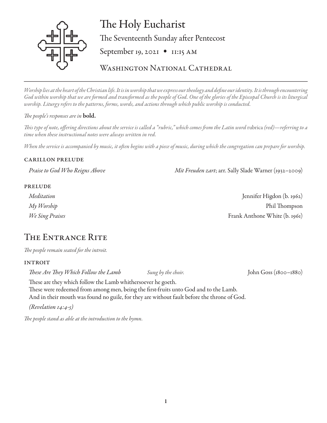# The Holy Eucharist

The Seventeenth Sunday after Pentecost

September 19, 2021 • II:15 AM

## Washington National Cathedral

*Worship lies at the heart of the Christian life. It is in worship that we express our theology and defi ne our identity. It is through encountering God within worship that we are formed and transformed as the people of God. One of the glories of the Episcopal Church is its liturgical worship. Liturgy refers to the patterns, forms, words, and actions through which public worship is conducted.* 

### The people's responses are in **bold.**

*This type of note, offering directions about the service is called a "rubric," which comes from the Latin word rubrica (red)—referring to a time when these instructional notes were always written in red.*

When the service is accompanied by music, it often begins with a piece of music, during which the congregation can prepare for worship.

### carillon prelude

*Praise to God Who Reigns Above Mit Freuden zart*; arr. Sally Slade Warner (1932–2009)

#### prelude

*Meditation* Jennifer Higdon (b. 1962) *My Worship* Phil Thompson *We Sing Praises* Frank Anthone White (b. 1961)

# The Entrance Rite

The people remain seated for the introit.

#### **INTROIT**

*Th ese Are Th ey Which Follow the Lamb Sung by the choir.* John Goss (1800–1880)

These are they which follow the Lamb whithersoever he goeth.

These were redeemed from among men, being the first-fruits unto God and to the Lamb. And in their mouth was found no guile, for they are without fault before the throne of God.

*(Revelation 14:4-5)*

The people stand as able at the introduction to the hymn.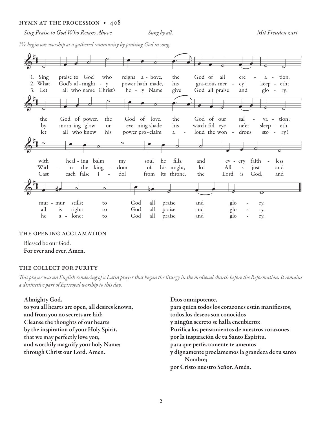#### hymn at the procession • 408

#### *Sing Praise to God Who Reigns Above Sung by all. Mit Freuden zart*

*We begin our worship as a gathered community by praising God in song.*



#### the opening acclamation

Blessed be our God. For ever and ever. Amen.

#### the collect for purity

*This prayer was an English rendering of a Latin prayer that began the liturgy in the medieval church before the Reformation. It remains a distinctive part of Episcopal worship to this day.*

Almighty God,

to you all hearts are open, all desires known, and from you no secrets are hid: Cleanse the thoughts of our hearts by the inspiration of your Holy Spirit, that we may perfectly love you, and worthily magnify your holy Name; through Christ our Lord. Amen.

Dios omnipotente, para quien todos los corazones están manifiestos, todos los deseos son conocidos y ningún secreto se halla encubierto: Purifica los pensamientos de nuestros corazones por la inspiración de tu Santo Espíritu, para que perfectamente te amemos y dignamente proclamemos la grandeza de tu santo Nombre; por Cristo nuestro Señor. Amén.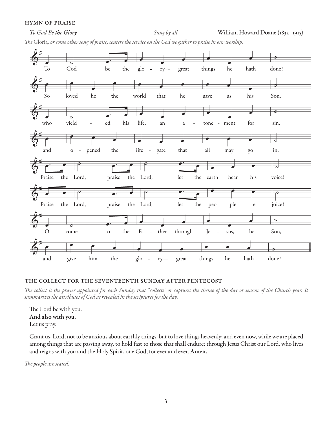#### hymn of praise



#### the collect for the seventeenth sunday after pentecost

*The collect is the prayer appointed for each Sunday that "collects" or captures the theme of the day or season of the Church year. It summarizes the attributes of God as revealed in the scriptures for the day.*

The Lord be with you. And also with you. Let us pray.

Grant us, Lord, not to be anxious about earthly things, but to love things heavenly; and even now, while we are placed among things that are passing away, to hold fast to those that shall endure; through Jesus Christ our Lord, who lives and reigns with you and the Holy Spirit, one God, for ever and ever. Amen.

*The people are seated.*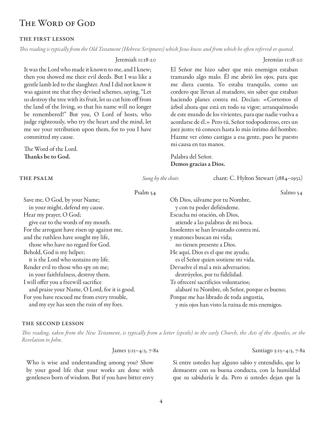## The Word of God

#### the first lesson

*This reading is typically from the Old Testament (Hebrew Scriptures) which Jesus knew and from which he often referred or quoted.* 

#### Jeremiah 11:18-20

It was the Lord who made it known to me, and I knew; then you showed me their evil deeds. But I was like a gentle lamb led to the slaughter. And I did not know it was against me that they devised schemes, saying, "Let us destroy the tree with its fruit, let us cut him off from the land of the living, so that his name will no longer be remembered!" But you, O Lord of hosts, who judge righteously, who try the heart and the mind, let me see your retribution upon them, for to you I have committed my cause.

The Word of the Lord. Thanks be to God.

#### Jeremías 11:18-20

El Señor me hizo saber que mis enemigos estaban tramando algo malo. Él me abrió los ojos, para que me diera cuenta. Yo estaba tranquilo, como un cordero que llevan al matadero, sin saber que estaban haciendo planes contra mí. Decían: «Cortemos el árbol ahora que está en todo su vigor; arranquémoslo de este mundo de los vivientes, para que nadie vuelva a acordarse de él.» Pero tú, Señor todopoderoso, eres un juez justo; tú conoces hasta lo más íntimo del hombre. Hazme ver cómo castigas a esa gente, pues he puesto mi causa en tus manos.

#### Palabra del Señor. Demos gracias a Dios.

THE PSALM *Sung by the choir.* chant: C. Hylton Stewart (1884–1932)

|                                                                  | Psalm 54                                                           | Salmo 54 |
|------------------------------------------------------------------|--------------------------------------------------------------------|----------|
| Save me, O God, by your Name;<br>in your might, defend my cause. | Oh Dios, sálvame por tu Nombre,<br>y con tu poder defiéndeme.      |          |
| Hear my prayer, O God;<br>give ear to the words of my mouth.     | Escucha mi oración, oh Dios,<br>atiende a las palabras de mi boca. |          |
| For the arrogant have risen up against me,                       | Insolentes se han levantado contra mí,                             |          |
| and the ruthless have sought my life,                            | y matones buscan mi vida;                                          |          |
| those who have no regard for God.                                | no tienen presente a Dios.                                         |          |
| Behold, God is my helper;                                        | He aquí, Dios es el que me ayuda;                                  |          |
| it is the Lord who sustains my life.                             | es el Señor quien sostiene mi vida.                                |          |
| Render evil to those who spy on me;                              | Devuelve el mal a mis adversarios;                                 |          |
| in your faithfulness, destroy them.                              | destrúyelos, por tu fidelidad.                                     |          |
| I will offer you a freewill sacrifice                            | Te ofreceré sacrificios voluntarios;                               |          |
| and praise your Name, O Lord, for it is good.                    | alabaré tu Nombre, oh Señor, porque es bueno;                      |          |
| For you have rescued me from every trouble,                      | Porque me has librado de toda angustia,                            |          |
| and my eye has seen the ruin of my foes.                         | y mis ojos han visto la ruina de mis enemigos.                     |          |

#### the second lesson

*This reading, taken from the New Testament, is typically from a letter (epistle) to the early Church, the Acts of the Apostles, or the Revelation to John.*

James 3:13–4:3, 7-8a

Who is wise and understanding among you? Show by your good life that your works are done with gentleness born of wisdom. But if you have bitter envy Santiago 3:13–4:3, 7-8a

Si entre ustedes hay alguno sabio y entendido, que lo demuestre con su buena conducta, con la humildad que su sabiduría le da. Pero si ustedes dejan que la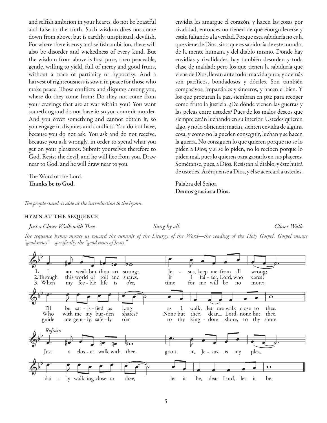and selfish ambition in your hearts, do not be boastful and false to the truth. Such wisdom does not come down from above, but is earthly, unspiritual, devilish. For where there is envy and selfish ambition, there will also be disorder and wickedness of every kind. But the wisdom from above is first pure, then peaceable, gentle, willing to yield, full of mercy and good fruits, without a trace of partiality or hypocrisy. And a harvest of righteousness is sown in peace for those who make peace. Those conflicts and disputes among you, where do they come from? Do they not come from your cravings that are at war within you? You want something and do not have it; so you commit murder. And you covet something and cannot obtain it; so you engage in disputes and conflicts. You do not have, because you do not ask. You ask and do not receive, because you ask wrongly, in order to spend what you get on your pleasures. Submit yourselves therefore to God. Resist the devil, and he will flee from you. Draw near to God, and he will draw near to you.

The Word of the Lord. Thanks be to God.

envidia les amargue el corazón, y hacen las cosas por rivalidad, entonces no tienen de qué enorgullecerse y están faltando a la verdad. Porque esta sabiduría no es la que viene de Dios, sino que es sabiduría de este mundo, de la mente humana y del diablo mismo. Donde hay envidias y rivalidades, hay también desorden y toda clase de maldad; pero los que tienen la sabiduría que viene de Dios, llevan ante todo una vida pura; y además son pacíficos, bondadosos y dóciles. Son también compasivos, imparciales y sinceros, y hacen el bien. Y los que procuran la paz, siembran en paz para recoger como fruto la justicia. ¿De dónde vienen las guerras y las peleas entre ustedes? Pues de los malos deseos que siempre están luchando en su interior. Ustedes quieren algo, y no lo obtienen; matan, sienten envidia de alguna cosa, y como no la pueden conseguir, luchan y se hacen la guerra. No consiguen lo que quieren porque no se lo piden a Dios; y si se lo piden, no lo reciben porque lo piden mal, pues lo quieren para gastarlo en sus placeres. Sométanse, pues, a Dios. Resistan al diablo, y éste huirá de ustedes. Acérquense a Dios, y él se acercará a ustedes.

Palabra del Señor. Demos gracias a Dios.

#### *The people stand as able at the introduction to the hymn.*

#### hymn at the sequence

#### *Just a Closer Walk with Thee Sung by all. Closer Walk*

*The sequence hymn moves us toward the summit of the Liturgy of the Word*—*the reading of the Holy Gospel. Gospel means "good news"—specifically the "good news of Jesus."* 

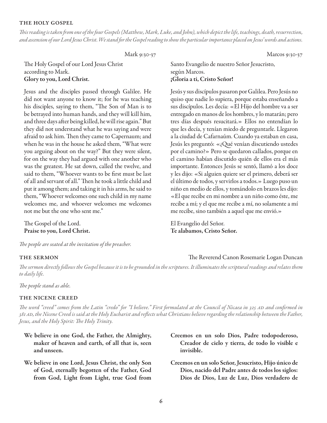#### the holy gospel

*This reading is taken from one of the four Gospels (Matthew, Mark, Luke, and John), which depict the life, teachings, death, resurrection, and ascension of our Lord Jesus Christ. We stand for the Gospel reading to show the particular importance placed on Jesus' words and actions.*

Mark 9:30-37

The Holy Gospel of our Lord Jesus Christ according to Mark. Glory to you, Lord Christ.

Jesus and the disciples passed through Galilee. He did not want anyone to know it; for he was teaching his disciples, saying to them, "The Son of Man is to be betrayed into human hands, and they will kill him, and three days after being killed, he will rise again." But they did not understand what he was saying and were afraid to ask him. Then they came to Capernaum; and when he was in the house he asked them, "What were you arguing about on the way?" But they were silent, for on the way they had argued with one another who was the greatest. He sat down, called the twelve, and said to them, "Whoever wants to be first must be last of all and servant of all." Then he took a little child and put it among them; and taking it in his arms, he said to them, "Whoever welcomes one such child in my name welcomes me, and whoever welcomes me welcomes not me but the one who sent me."

The Gospel of the Lord. Praise to you, Lord Christ.

*The people are seated at the invitation of the preacher.*

Santo Evangelio de nuestro Señor Jesucristo, según Marcos. ¡Gloria a ti, Cristo Señor!

Jesús y sus discípulos pasaron por Galilea. Pero Jesús no quiso que nadie lo supiera, porque estaba enseñando a sus discípulos. Les decía: «El Hijo del hombre va a ser entregado en manos de los hombres, y lo matarán; pero tres días después resucitará.» Ellos no entendían lo que les decía, y tenían miedo de preguntarle. Llegaron a la ciudad de Cafarnaúm. Cuando ya estaban en casa, Jesús les preguntó: «¿Qué venían discutiendo ustedes por el camino?» Pero se quedaron callados, porque en el camino habían discutido quién de ellos era el más importante. Entonces Jesús se sentó, llamó a los doce y les dijo: «Si alguien quiere ser el primero, deberá ser el último de todos, y servirlos a todos.» Luego puso un niño en medio de ellos, y tomándolo en brazos les dijo: «El que recibe en mi nombre a un niño como éste, me recibe a mí; y el que me recibe a mí, no solamente a mí me recibe, sino también a aquel que me envió.»

El Evangelio del Señor. Te alabamos, Cristo Señor.

### THE SERMON **THE SERMON** THE Reverend Canon Rosemarie Logan Duncan

*The sermon directly follows the Gospel because it is to be grounded in the scriptures. It illuminates the scriptural readings and relates them to daily life.*

*The people stand as able.*

#### the nicene creed

The word "creed" comes from the Latin "credo" for "I believe." First formulated at the Council of Nicaea in 325 AD and confirmed in *381ad, the Nicene Creed is said at the Holy Eucharist and reflects what Christians believe regarding the relationship between the Father, Jesus, and the Holy Spirit: The Holy Trinity.*

- We believe in one God, the Father, the Almighty, maker of heaven and earth, of all that is, seen and unseen.
- We believe in one Lord, Jesus Christ, the only Son of God, eternally begotten of the Father, God from God, Light from Light, true God from
- Creemos en un solo Dios, Padre todopoderoso, Creador de cielo y tierra, de todo lo visible e invisible.
- Creemos en un solo Señor, Jesucristo, Hijo único de Dios, nacido del Padre antes de todos los siglos: Dios de Dios, Luz de Luz, Dios verdadero de

6

Marcos 9:30-37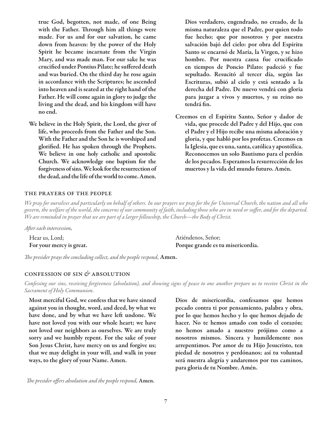true God, begotten, not made, of one Being with the Father. Through him all things were made. For us and for our salvation, he came down from heaven: by the power of the Holy Spirit he became incarnate from the Virgin Mary, and was made man. For our sake he was crucified under Pontius Pilate; he suffered death and was buried. On the third day he rose again in accordance with the Scriptures; he ascended into heaven and is seated at the right hand of the Father. He will come again in glory to judge the living and the dead, and his kingdom will have no end.

We believe in the Holy Spirit, the Lord, the giver of life, who proceeds from the Father and the Son. With the Father and the Son he is worshiped and glorified. He has spoken through the Prophets. We believe in one holy catholic and apostolic Church. We acknowledge one baptism for the forgiveness of sins. We look for the resurrection of the dead, and the life of the world to come. Amen.

Dios verdadero, engendrado, no creado, de la misma naturaleza que el Padre, por quien todo fue hecho; que por nosotros y por nuestra salvación bajó del cielo: por obra del Espíritu Santo se encarnó de María, la Virgen, y se hizo hombre. Por nuestra causa fue crucificado en tiempos de Poncio Pilato: padeció y fue sepultado. Resucitó al tercer día, según las Escrituras, subió al cielo y está sentado a la derecha del Padre. De nuevo vendrá con gloria para juzgar a vivos y muertos, y su reino no tendrá fin.

Creemos en el Espíritu Santo, Señor y dador de vida, que procede del Padre y del Hijo, que con el Padre y el Hijo recibe una misma adoración y gloria, y que habló por los profetas. Creemos en la Iglesia, que es una, santa, católica y apostólica. Reconocemos un solo Bautismo para el perdón de los pecados. Esperamos la resurrección de los muertos y la vida del mundo futuro. Amén.

#### the prayers of the people

*We pray for ourselves and particularly on behalf of others. In our prayers we pray for the for Universal Church, the nation and all who govern, the welfare of the world, the concerns of our community of faith, including those who are in need or suffer, and for the departed. We are reminded in prayer that we are part of a larger fellowship, the Church—the Body of Christ.*

*After each intercession,*

Hear us, Lord; and a control of the Atiendenos, Señor; Atiendenos, Señor; For your mercy is great. The process of the Porque grande es tu misericordia.

*The presider prays the concluding collect, and the people respond,* Amen.

#### confession of sin *&* absolution

*Confessing our sins, receiving forgiveness (absolution), and showing signs of peace to one another prepare us to receive Christ in the Sacrament of Holy Communion.*

Most merciful God, we confess that we have sinned against you in thought, word, and deed, by what we have done, and by what we have left undone. We have not loved you with our whole heart; we have not loved our neighbors as ourselves. We are truly sorry and we humbly repent. For the sake of your Son Jesus Christ, have mercy on us and forgive us; that we may delight in your will, and walk in your ways, to the glory of your Name. Amen.

*The presider offers absolution and the people respond,* Amen.

Dios de misericordia, confesamos que hemos pecado contra ti por pensamiento, palabra y obra, por lo que hemos hecho y lo que hemos dejado de hacer. No te hemos amado con todo el corazón; no hemos amado a nuestro prójimo como a nosotros mismos. Sincera y humildemente nos arrepentimos. Por amor de tu Hijo Jesucristo, ten piedad de nosotros y perdónanos; así tu voluntad será nuestra alegría y andaremos por tus caminos, para gloria de tu Nombre. Amén.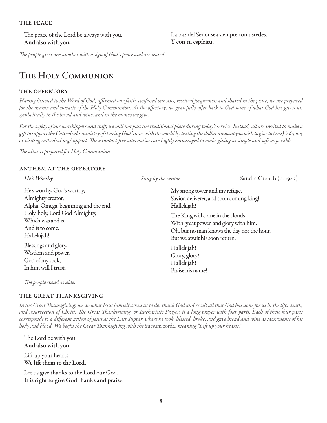#### THE PEACE

The peace of the Lord be always with you. La paz del Señor sea siempre con ustedes. And also with you.  $Y \text{ con } t$ u espíritu.

*The people greet one another with a sign of God's peace and are seated.* 

# The Holy Communion

#### THE OFFERTORY

*Having listened to the Word of God, affirmed our faith, confessed our sins, received forgiveness and shared in the peace, we are prepared for the drama and miracle of the Holy Communion. At the offertory, we gratefully offer back to God some of what God has given us, symbolically in the bread and wine, and in the money we give.* 

*For the safety of our worshippers and staff, we will not pass the traditional plate during today's service. Instead, all are invited to make a gift to support the Cathedral's ministry of sharing God's love with the world by texting the dollar amount you wish to give to (202) 856-9005 or visiting cathedral.org/support. These contact-free alternatives are highly encouraged to make giving as simple and safe as possible.*

*The altar is prepared for Holy Communion.*

#### anthem at the offertory

*He's Worthy Sung by the cantor.* Sandra Crouch (b. 1942)

| He's worthy, God's worthy,           | My strong tower and my refuge,             |
|--------------------------------------|--------------------------------------------|
| Almighty creator,                    | Savior, deliverer, and soon coming king!   |
| Alpha, Omega, beginning and the end. | Hallelujah!                                |
| Holy, holy, Lord God Almighty,       | The King will come in the clouds           |
| Which was and is,                    | With great power, and glory with him.      |
| And is to come.                      | Oh, but no man knows the day nor the hour, |
| Hallelujah!                          | But we await his soon return.              |
| Blessings and glory,                 | Hallelujah!                                |
| Wisdom and power,                    | Glory, glory!                              |
| God of my rock,                      | Hallelujah!                                |
| In him will I trust.                 | Praise his name!                           |

*The people stand as able.* 

#### the great thanksgiving

*In the Great Thanksgiving, we do what Jesus himself asked us to do: thank God and recall all that God has done for us in the life, death, and resurrection of Christ. The Great Thanksgiving, or Eucharistic Prayer, is a long prayer with four parts. Each of these four parts corresponds to a different action of Jesus at the Last Supper, where he took, blessed, broke, and gave bread and wine as sacraments of his body and blood. We begin the Great Thanksgiving with the* Sursum corda*, meaning "Lift up your hearts."* 

The Lord be with you. And also with you.

Lift up your hearts. We lift them to the Lord.

Let us give thanks to the Lord our God. It is right to give God thanks and praise.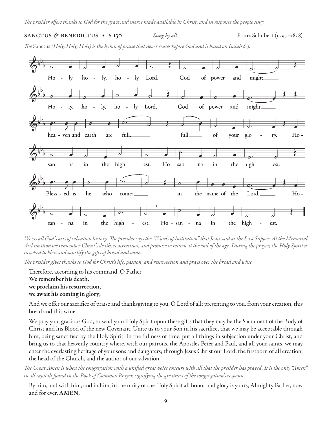## sanctus *&* benedictus • s 130 *Sung by all.* Franz Schubert (1797–1828)

*The* Sanctus *(Holy, Holy, Holy) is the hymn of praise that never ceases before God and is based on Isaiah 6:3.*



*We recall God's acts of salvation history. The presider says the "Words of Institution" that Jesus said at the Last Supper. At the Memorial Acclamation we remember Christ's death, resurrection, and promise to return at the end of the age. During the prayer, the Holy Spirit is invoked to bless and sanctify the gifts of bread and wine.*

*The presider gives thanks to God for Christ's life, passion, and resurrection and prays over the bread and wine*

Therefore, according to his command, O Father, We remember his death, we proclaim his resurrection, we await his coming in glory;

And we offer our sacrifice of praise and thanksgiving to you, O Lord of all; presenting to you, from your creation, this bread and this wine.

We pray you, gracious God, to send your Holy Spirit upon these gifts that they may be the Sacrament of the Body of Christ and his Blood of the new Covenant. Unite us to your Son in his sacrifice, that we may be acceptable through him, being sanctified by the Holy Spirit. In the fullness of time, put all things in subjection under your Christ, and bring us to that heavenly country where, with our patrons, the Apostles Peter and Paul, and all your saints, we may enter the everlasting heritage of your sons and daughters; through Jesus Christ our Lord, the firstborn of all creation, the head of the Church, and the author of our salvation.

*The Great Amen is when the congregation with a unified great voice concurs with all that the presider has prayed. It is the only "Amen" in all capitals found in the Book of Common Prayer, signifying the greatness of the congregation's response.*

By him, and with him, and in him, in the unity of the Holy Spirit all honor and glory is yours, Almighty Father, now and for ever. AMEN.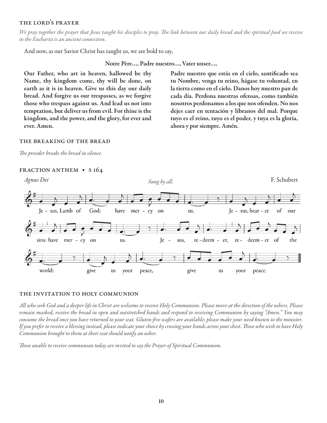#### the lord's prayer

*We pray together the prayer that Jesus taught his disciples to pray. The link between our daily bread and the spiritual food we receive in the Eucharist is an ancient connection.*

And now, as our Savior Christ has taught us, we are bold to say,

#### Notre Père…, Padre nuestro…, Vater unser…,

Our Father, who art in heaven, hallowed be thy Name, thy kingdom come, thy will be done, on earth as it is in heaven. Give us this day our daily bread. And forgive us our trespasses, as we forgive those who trespass against us. And lead us not into temptation, but deliver us from evil. For thine is the kingdom, and the power, and the glory, for ever and ever. Amen.

Padre nuestro que estás en el cielo, santificado sea tu Nombre, venga tu reino, hágase tu voluntad, en la tierra como en el cielo. Danos hoy nuestro pan de cada día. Perdona nuestras ofensas, como también nosotros perdonamos a los que nos ofenden. No nos dejes caer en tentación y líbranos del mal. Porque tuyo es el reino, tuyo es el poder, y tuya es la gloria, ahora y por siempre. Amén.

#### the breaking of the bread

*The presider breaks the bread in silence.*

#### FRACTION ANTHEM • S 164



#### the invitation to holy communion

*All who seek God and a deeper life in Christ are welcome to receive Holy Communion. Please move at the direction of the ushers. Please remain masked, receive the bread in open and outstretched hands and respond to receiving Communion by saying "Amen." You may consume the bread once you have returned to your seat. Gluten-free wafers are available; please make your need known to the minister. If you prefer to receive a blessing instead, please indicate your choice by crossing your hands across your chest. Those who wish to have Holy Communion brought to them at their seat should notify an usher.* 

*Those unable to receive communion today are invited to say the Prayer of Spiritual Communion.*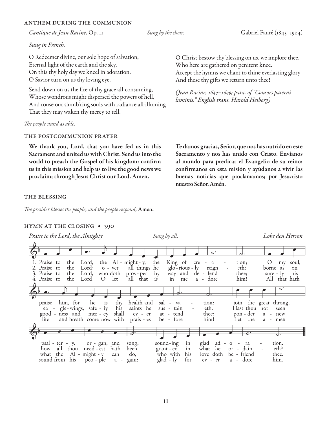#### anthem during the communion

*Cantique de Jean Racine*, Op. 11 *Sung by the choir.* Gabriel Fauré (1845–1924)

*Sung in French.*

O Redeemer divine, our sole hope of salvation, Eternal light of the earth and the sky, On this thy holy day we kneel in adoration. O Savior turn on us thy loving eye.

Send down on us the fire of thy grace all-consuming, Whose wondrous might dispersed the powers of hell, And rouse our slumb'ring souls with radiance all-illuming That they may waken thy mercy to tell.

*The people stand as able.* 

#### the postcommunion prayer

We thank you, Lord, that you have fed us in this Sacrament and united us with Christ. Send us into the world to preach the Gospel of his kingdom: confirm us in this mission and help us to live the good news we proclaim; through Jesus Christ our Lord. Amen.

O Christ bestow thy blessing on us, we implore thee, Who here are gathered on penitent knee. Accept the hymns we chant to thine everlasting glory And these thy gifts we return unto thee!

*(Jean Racine, 1639–1699; para. of "Consors paterni luminis." English trans. Harold Heiberg)*

Te damos gracias, Señor, que nos has nutrido en este Sacramento y nos has unido con Cristo. Envíanos al mundo para predicar el Evangelio de su reino: confírmanos en esta misión y ayúdanos a vivir las buenas noticias que proclamamos; por Jesucristo nuestro Señor. Amén.

#### the blessing

*The presider blesses the people, and the people respond,* Amen.

#### hymn at the closing • 390

*Praise to the Lord, the Almighty Sung by all. Lobe den Herren* 1. Praise to the Lord, the Al - might - y, the King - of cre tion;  $\overline{O}$ my soul,  $\overline{\phantom{a}}$ a 2. Praise to the Lord; all things he  $g$ lo - rious - ly eth: borne as  $o - ver$ reign  $\alpha$ n 3. Praise to the Lord, who doth pros - per thy way and de - fend thee; sure -  $\lg$ his 4. Praise to All that hath the Lord!  $\mathcal{O}$ let all that is  $in$ me  $\overline{\phantom{a}}$ dore him! a him, for praise he is thy health and join the great throng, sal  $\sim$ va tion: ea  $\sim$ gle-wings, safe -  $ly$ his saints he sus - tain eth. Hast thou not seen good - ness and  $mer - cy$ shall thee; pon - der new  $ev - er$ at - tend a  $\sim$ him! the life and breath come now with prais - es be - fore Let  $a$ men ⋥ ⇁. sound-ing glad  $ad \mathcal{L}_{\mathcal{A}}$ psal - ter - y, or - gan, and  $\mathbf{o}$ tion. song, in ra how need - est all thou hath been grant - ed in what he or - dain eth? what the  $\text{Al}$  - might - y can do, who with his love doth be - friend thee. sound from his peo - ple  $_{\rm{glad}}$  –  $_{\rm{ly}}$ for  $ev - cr$ a - dore him.  $a$ gain;